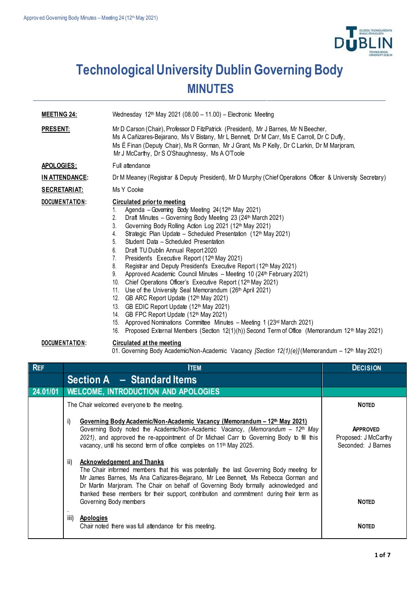

## **Technological University Dublin Governing Body MINUTES**

| <b>MEETING 24:</b> | Wednesday 12th May 2021 (08.00 - 11.00) - Electronic Meeting                                                                                                                                                                                                                                                                                                                                                                                                                                                                                                                                                                                                                                                                                                                                                                                                                                                                                                                                                                                                                                                     |  |  |
|--------------------|------------------------------------------------------------------------------------------------------------------------------------------------------------------------------------------------------------------------------------------------------------------------------------------------------------------------------------------------------------------------------------------------------------------------------------------------------------------------------------------------------------------------------------------------------------------------------------------------------------------------------------------------------------------------------------------------------------------------------------------------------------------------------------------------------------------------------------------------------------------------------------------------------------------------------------------------------------------------------------------------------------------------------------------------------------------------------------------------------------------|--|--|
| <b>PRESENT:</b>    | Mr D Carson (Chair), Professor D FitzPatrick (President), Mr J Barnes, Mr N Beecher,<br>Ms A Cañizares-Bejarano, Ms V Bistany, Mr L Bennett, Dr M Carr, Ms E Carroll, Dr C Duffy,<br>Ms É Finan (Deputy Chair), Ms R Gorman, Mr J Grant, Ms P Kelly, Dr C Larkin, Dr M Marjoram,<br>Mr J McCarthy, Dr S O'Shaughnessy, Ms A O'Toole                                                                                                                                                                                                                                                                                                                                                                                                                                                                                                                                                                                                                                                                                                                                                                              |  |  |
| APOLOGIES:         | Full attendance                                                                                                                                                                                                                                                                                                                                                                                                                                                                                                                                                                                                                                                                                                                                                                                                                                                                                                                                                                                                                                                                                                  |  |  |
| IN ATTENDANCE:     | Dr M Meaney (Registrar & Deputy President), Mr D Murphy (Chief Operations Officer & University Secretary)                                                                                                                                                                                                                                                                                                                                                                                                                                                                                                                                                                                                                                                                                                                                                                                                                                                                                                                                                                                                        |  |  |
| SECRETARIAT:       | Ms Y Cooke                                                                                                                                                                                                                                                                                                                                                                                                                                                                                                                                                                                                                                                                                                                                                                                                                                                                                                                                                                                                                                                                                                       |  |  |
| DOCUMENTATION:     | <b>Circulated prior to meeting</b><br>Agenda - Governing Body Meeting 24 (12th May 2021)<br>$1_{\cdot}$<br>2.<br>Draft Minutes - Governing Body Meeting 23 (24th March 2021)<br>Governing Body Rolling Action Log 2021 (12th May 2021)<br>3.<br>Strategic Plan Update - Scheduled Presentation (12th May 2021)<br>4.<br>5.<br>Student Data - Scheduled Presentation<br>Draft TU Dublin Annual Report 2020<br>6.<br>President's Executive Report (12th May 2021)<br>7.<br>Registrar and Deputy President's Executive Report (12th May 2021)<br>8.<br>Approved Academic Council Minutes - Meeting 10 (24th February 2021)<br>9.<br>Chief Operations Officer's Executive Report (12th May 2021)<br>10.<br>11. Use of the University Seal Memorandum (26th April 2021)<br>GB ARC Report Update (12th May 2021)<br>12.<br>GB EDIC Report Update (12th May 2021)<br>13.<br>GB FPC Report Update (12th May 2021)<br>14.<br>15. Approved Nominations Committee Minutes - Meeting 1 (23rd March 2021)<br>Proposed External Members (Section 12(1)(h)) Second Term of Office (Memorandum 12 <sup>th</sup> May 2021)<br>16. |  |  |

## **DOCUMENTATION: Circulated at the meeting**

01. Governing Body Academic/Non-Academic Vacancy *[Section 12(1)(e)]* (Memorandum – 12th May 2021)

| <b>REF</b> | <b>ITEM</b>                                                                                                                                                                                                                                                                                                                                                                                                                             | <b>DECISION</b>                                               |
|------------|-----------------------------------------------------------------------------------------------------------------------------------------------------------------------------------------------------------------------------------------------------------------------------------------------------------------------------------------------------------------------------------------------------------------------------------------|---------------------------------------------------------------|
|            | Section $A - Standard$                                                                                                                                                                                                                                                                                                                                                                                                                  |                                                               |
| 24.01/01   | <b>WELCOME, INTRODUCTION AND APOLOGIES</b>                                                                                                                                                                                                                                                                                                                                                                                              |                                                               |
|            | The Chair welcomed everyone to the meeting.                                                                                                                                                                                                                                                                                                                                                                                             | <b>NOTED</b>                                                  |
|            | Governing Body Academic/Non-Academic Vacancy (Memorandum – 12 <sup>th</sup> May 2021)<br>i)<br>Governing Body noted the Academic/Non-Academic Vacancy, (Memorandum $-12th$ May<br>2021), and approved the re-appointment of Dr Michael Carr to Governing Body to fill this<br>vacancy, until his second term of office completes on 11 <sup>th</sup> May 2025.                                                                          | <b>APPROVED</b><br>Proposed: J McCarthy<br>Seconded: J Barnes |
|            | ii)<br><b>Acknowledgement and Thanks</b><br>The Chair informed members that this was potentially the last Governing Body meeting for<br>Mr James Barnes, Ms Ana Cañizares-Bejarano, Mr Lee Bennett, Ms Rebecca Gorman and<br>Dr Martin Marjoram. The Chair on behalf of Governing Body formally acknowledged and<br>thanked these members for their support, contribution and commitment during their term as<br>Governing Body members | <b>NOTED</b>                                                  |
|            | iii)<br>Apologies<br>Chair noted there was full attendance for this meeting.                                                                                                                                                                                                                                                                                                                                                            | <b>NOTED</b>                                                  |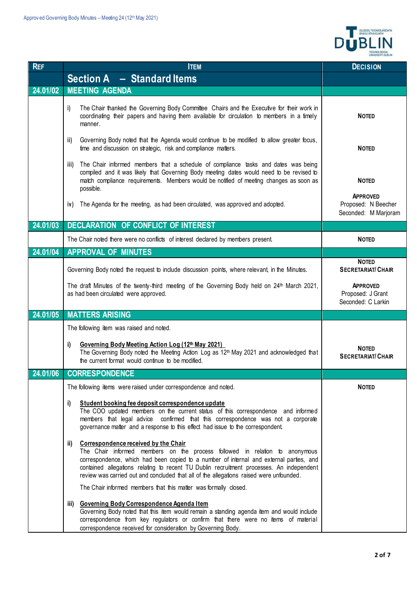

| <b>REF</b> | <b>ITEM</b>                                                                                                                                                                                                                                                                                                                                                                                                                                                                             | <b>DECISION</b>                                                |
|------------|-----------------------------------------------------------------------------------------------------------------------------------------------------------------------------------------------------------------------------------------------------------------------------------------------------------------------------------------------------------------------------------------------------------------------------------------------------------------------------------------|----------------------------------------------------------------|
|            | <b>Section A - Standard Items</b>                                                                                                                                                                                                                                                                                                                                                                                                                                                       |                                                                |
| 24.01/02   | <b>MEETING AGENDA</b>                                                                                                                                                                                                                                                                                                                                                                                                                                                                   |                                                                |
|            | The Chair thanked the Governing Body Committee Chairs and the Executive for their work in<br>i)<br>coordinating their papers and having them available for circulation to members in a timely<br>manner.                                                                                                                                                                                                                                                                                | <b>NOTED</b>                                                   |
|            | Governing Body noted that the Agenda would continue to be modified to allow greater focus,<br>ii)<br>time and discussion on strategic, risk and compliance matters.                                                                                                                                                                                                                                                                                                                     | <b>NOTED</b>                                                   |
|            | The Chair informed members that a schedule of compliance tasks and dates was being<br>iii)<br>compiled and it was likely that Governing Body meeting dates would need to be revised to<br>match compliance requirements. Members would be notified of meeting changes as soon as<br>possible.                                                                                                                                                                                           | <b>NOTED</b>                                                   |
|            | The Agenda for the meeting, as had been circulated, was approved and adopted.<br>iv)                                                                                                                                                                                                                                                                                                                                                                                                    | <b>APPROVED</b><br>Proposed: N Beecher<br>Seconded: M Marjoram |
| 24.01/03   | <b>DECLARATION OF CONFLICT OF INTEREST</b>                                                                                                                                                                                                                                                                                                                                                                                                                                              |                                                                |
|            | The Chair noted there were no conflicts of interest declared by members present.                                                                                                                                                                                                                                                                                                                                                                                                        | <b>NOTED</b>                                                   |
| 24.01/04   | <b>APPROVAL OF MINUTES</b>                                                                                                                                                                                                                                                                                                                                                                                                                                                              |                                                                |
|            | Governing Body noted the request to include discussion points, where relevant, in the Minutes.                                                                                                                                                                                                                                                                                                                                                                                          | <b>NOTED</b><br><b>SECRETARIAT/ CHAIR</b>                      |
|            | The draft Minutes of the twenty-third meeting of the Governing Body held on 24th March 2021,<br>as had been circulated were approved.                                                                                                                                                                                                                                                                                                                                                   | <b>APPROVED</b><br>Proposed: J Grant<br>Seconded: C Larkin     |
| 24.01/05   | <b>MATTERS ARISING</b>                                                                                                                                                                                                                                                                                                                                                                                                                                                                  |                                                                |
|            | The following item was raised and noted.                                                                                                                                                                                                                                                                                                                                                                                                                                                |                                                                |
|            | i)<br>Governing Body Meeting Action Log (12th May 2021)<br>The Governing Body noted the Meeting Action Log as 12th May 2021 and acknowledged that<br>the current format would continue to be modified.                                                                                                                                                                                                                                                                                  | <b>NOTED</b><br><b>SECRETARIAT/ CHAIR</b>                      |
| 24.01/06   | <b>CORRESPONDENCE</b>                                                                                                                                                                                                                                                                                                                                                                                                                                                                   |                                                                |
|            | The following items were raised under correspondence and noted.                                                                                                                                                                                                                                                                                                                                                                                                                         | <b>NOTED</b>                                                   |
|            | Student booking fee deposit correspondence update<br>i)<br>The COO updated members on the current status of this correspondence and informed<br>members that legal advice confirmed that this correspondence was not a corporate<br>governance matter and a response to this effect had issue to the correspondent.                                                                                                                                                                     |                                                                |
|            | <b>Correspondence received by the Chair</b><br>ii)<br>The Chair informed members on the process followed in relation to anonymous<br>correspondence, which had been copied to a number of internal and external parties, and<br>contained allegations relating to recent TU Dublin recruitment processes. An independent<br>review was carried out and concluded that all of the allegations raised were unfounded.<br>The Chair informed members that this matter was formally closed. |                                                                |
|            | iii) Governing Body Correspondence Agenda Item<br>Governing Body noted that this item would remain a standing agenda item and would include<br>correspondence from key regulators or confirm that there were no items of material<br>correspondence received for consideration by Governing Body.                                                                                                                                                                                       |                                                                |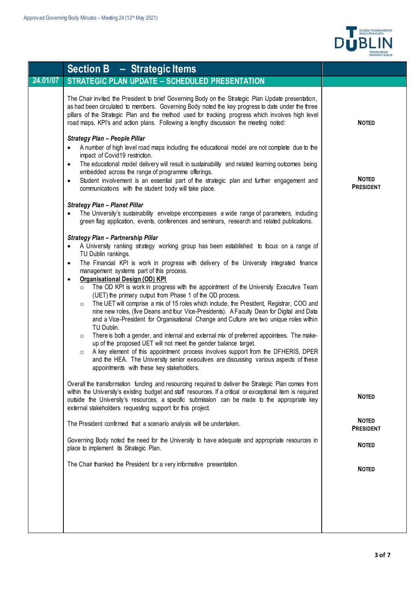

|          | Section $B -$ Strategic Items                                                                                                                                                                                                                                                                                                                                                                                                                                                                                                                                                                                                                                                                                                                                                                                                                                                                                                                                                                                                                                                                                                                                                                                                                                                                                                                                                                                                                                                                                                                                                                 |                                  |
|----------|-----------------------------------------------------------------------------------------------------------------------------------------------------------------------------------------------------------------------------------------------------------------------------------------------------------------------------------------------------------------------------------------------------------------------------------------------------------------------------------------------------------------------------------------------------------------------------------------------------------------------------------------------------------------------------------------------------------------------------------------------------------------------------------------------------------------------------------------------------------------------------------------------------------------------------------------------------------------------------------------------------------------------------------------------------------------------------------------------------------------------------------------------------------------------------------------------------------------------------------------------------------------------------------------------------------------------------------------------------------------------------------------------------------------------------------------------------------------------------------------------------------------------------------------------------------------------------------------------|----------------------------------|
| 24.01/07 | <b>STRATEGIC PLAN UPDATE - SCHEDULED PRESENTATION</b>                                                                                                                                                                                                                                                                                                                                                                                                                                                                                                                                                                                                                                                                                                                                                                                                                                                                                                                                                                                                                                                                                                                                                                                                                                                                                                                                                                                                                                                                                                                                         |                                  |
|          | The Chair invited the President to brief Governing Body on the Strategic Plan Update presentation,<br>as had been circulated to members. Governing Body noted the key progress to date under the three<br>pillars of the Strategic Plan and the method used for tracking progress which involves high level<br>road maps, KPI's and action plans. Following a lengthy discussion the meeting noted:                                                                                                                                                                                                                                                                                                                                                                                                                                                                                                                                                                                                                                                                                                                                                                                                                                                                                                                                                                                                                                                                                                                                                                                           | <b>NOTED</b>                     |
|          | <b>Strategy Plan - People Pillar</b><br>A number of high level road maps including the educational model are not complete due to the<br>impact of Covid19 restriction.<br>The educational model delivery will result in sustainability and related learning outcomes being<br>$\bullet$<br>embedded across the range of programme offerings.<br>Student involvement is an essential part of the strategic plan and further engagement and<br>$\bullet$<br>communications with the student body will take place.                                                                                                                                                                                                                                                                                                                                                                                                                                                                                                                                                                                                                                                                                                                                                                                                                                                                                                                                                                                                                                                                               | <b>NOTED</b><br><b>PRESIDENT</b> |
|          | <b>Strategy Plan - Planet Pillar</b><br>The University's sustainability envelope encompasses a wide range of parameters, including<br>$\bullet$<br>green flag application, events, conferences and seminars, research and related publications.                                                                                                                                                                                                                                                                                                                                                                                                                                                                                                                                                                                                                                                                                                                                                                                                                                                                                                                                                                                                                                                                                                                                                                                                                                                                                                                                               |                                  |
|          | Strategy Plan - Partnership Pillar<br>A University ranking strategy working group has been established to focus on a range of<br>$\bullet$<br>TU Dublin rankings.<br>The Financial KPI is work in progress with delivery of the University integrated finance<br>$\bullet$<br>management systems part of this process.<br><b>Organisational Design (OD) KPI</b><br>$\bullet$<br>The OD KPI is work in progress with the appointment of the University Executive Team<br>$\circ$<br>(UET) the primary output from Phase 1 of the OD process.<br>The UET will comprise a mix of 15 roles which include, the President, Registrar, COO and<br>$\circ$<br>nine new roles, (five Deans and four Vice-Presidents). A Faculty Dean for Digital and Data<br>and a Vice-President for Organisational Change and Culture are two unique roles within<br>TU Dublin.<br>There is both a gender, and internal and external mix of preferred appointees. The make-<br>$\circ$<br>up of the proposed UET will not meet the gender balance target.<br>A key element of this appointment process involves support from the DFHERIS, DPER<br>$\circ$<br>and the HEA. The University senior executives are discussing various aspects of these<br>appointments with these key stakeholders.<br>Overall the transformation funding and resourcing required to deliver the Strategic Plan comes from<br>within the University's existing budget and staff resources. If a critical or exceptional item is required<br>outside the University's resources, a specific submission can be made to the appropriate key | <b>NOTED</b>                     |
|          | external stakeholders requesting support for this project.                                                                                                                                                                                                                                                                                                                                                                                                                                                                                                                                                                                                                                                                                                                                                                                                                                                                                                                                                                                                                                                                                                                                                                                                                                                                                                                                                                                                                                                                                                                                    | <b>NOTED</b>                     |
|          | The President confirmed that a scenario analysis will be undertaken.                                                                                                                                                                                                                                                                                                                                                                                                                                                                                                                                                                                                                                                                                                                                                                                                                                                                                                                                                                                                                                                                                                                                                                                                                                                                                                                                                                                                                                                                                                                          | <b>PRESIDENT</b>                 |
|          | Governing Body noted the need for the University to have adequate and appropriate resources in<br>place to implement its Strategic Plan.                                                                                                                                                                                                                                                                                                                                                                                                                                                                                                                                                                                                                                                                                                                                                                                                                                                                                                                                                                                                                                                                                                                                                                                                                                                                                                                                                                                                                                                      | <b>NOTED</b>                     |
|          | The Chair thanked the President for a very informative presentation.                                                                                                                                                                                                                                                                                                                                                                                                                                                                                                                                                                                                                                                                                                                                                                                                                                                                                                                                                                                                                                                                                                                                                                                                                                                                                                                                                                                                                                                                                                                          | <b>NOTED</b>                     |
|          |                                                                                                                                                                                                                                                                                                                                                                                                                                                                                                                                                                                                                                                                                                                                                                                                                                                                                                                                                                                                                                                                                                                                                                                                                                                                                                                                                                                                                                                                                                                                                                                               |                                  |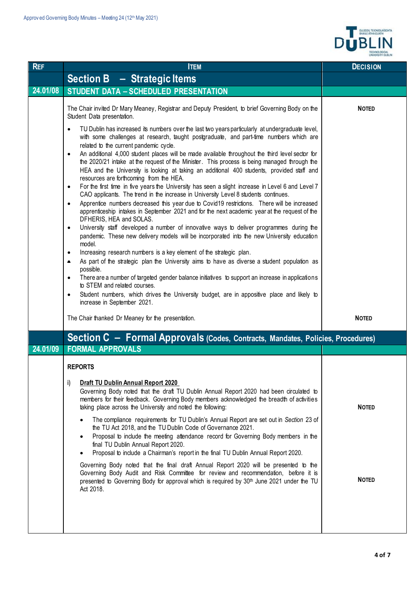

| <b>REF</b> | <b>ITEM</b>                                                                                                                                                                                                                                                                                                                                                                                                                                                                                                                                                                                                | <b>DECISION</b> |
|------------|------------------------------------------------------------------------------------------------------------------------------------------------------------------------------------------------------------------------------------------------------------------------------------------------------------------------------------------------------------------------------------------------------------------------------------------------------------------------------------------------------------------------------------------------------------------------------------------------------------|-----------------|
|            | <b>Section B - Strategic Items</b>                                                                                                                                                                                                                                                                                                                                                                                                                                                                                                                                                                         |                 |
| 24.01/08   | <b>STUDENT DATA - SCHEDULED PRESENTATION</b>                                                                                                                                                                                                                                                                                                                                                                                                                                                                                                                                                               |                 |
|            | The Chair invited Dr Mary Meaney, Registrar and Deputy President, to brief Governing Body on the<br>Student Data presentation.                                                                                                                                                                                                                                                                                                                                                                                                                                                                             | <b>NOTED</b>    |
|            | TU Dublin has increased its numbers over the last two years particularly at undergraduate level,<br>$\bullet$<br>with some challenges at research, taught postgraduate, and part-time numbers which are<br>related to the current pandemic cycle.<br>An additional 4,000 student places will be made available throughout the third level sector for<br>$\bullet$<br>the 2020/21 intake at the request of the Minister. This process is being managed through the<br>HEA and the University is looking at taking an additional 400 students, provided staff and<br>resources are forthcoming from the HEA. |                 |
|            | For the first time in five years the University has seen a slight increase in Level 6 and Level 7<br>$\bullet$<br>CAO applicants. The trend in the increase in University Level 8 students continues.<br>Apprentice numbers decreased this year due to Covid19 restrictions. There will be increased<br>$\bullet$                                                                                                                                                                                                                                                                                          |                 |
|            | apprenticeship intakes in September 2021 and for the next academic year at the request of the<br>DFHERIS, HEA and SOLAS.<br>University staff developed a number of innovative ways to deliver programmes during the<br>$\bullet$<br>pandemic. These new delivery models will be incorporated into the new University education                                                                                                                                                                                                                                                                             |                 |
|            | model.<br>Increasing research numbers is a key element of the strategic plan.<br>$\bullet$<br>As part of the strategic plan the University aims to have as diverse a student population as<br>$\bullet$                                                                                                                                                                                                                                                                                                                                                                                                    |                 |
|            | possible.<br>There are a number of targeted gender balance initiatives to support an increase in applications<br>$\bullet$<br>to STEM and related courses.                                                                                                                                                                                                                                                                                                                                                                                                                                                 |                 |
|            | Student numbers, which drives the University budget, are in appositive place and likely to<br>$\bullet$<br>increase in September 2021.                                                                                                                                                                                                                                                                                                                                                                                                                                                                     |                 |
|            | The Chair thanked Dr Meaney for the presentation.                                                                                                                                                                                                                                                                                                                                                                                                                                                                                                                                                          | <b>NOTED</b>    |
|            | Section C - Formal Approvals (Codes, Contracts, Mandates, Policies, Procedures)                                                                                                                                                                                                                                                                                                                                                                                                                                                                                                                            |                 |
| 24.01/09   | <b>FORMAL APPROVALS</b>                                                                                                                                                                                                                                                                                                                                                                                                                                                                                                                                                                                    |                 |
|            | <b>REPORTS</b>                                                                                                                                                                                                                                                                                                                                                                                                                                                                                                                                                                                             |                 |
|            | Draft TU Dublin Annual Report 2020<br>i)<br>Governing Body noted that the draft TU Dublin Annual Report 2020 had been circulated to<br>members for their feedback. Governing Body members acknowledged the breadth of activities<br>taking place across the University and noted the following:                                                                                                                                                                                                                                                                                                            | <b>NOTED</b>    |
|            | The compliance requirements for TU Dublin's Annual Report are set out in Section 23 of<br>the TU Act 2018, and the TU Dublin Code of Governance 2021.<br>Proposal to include the meeting attendance record for Governing Body members in the<br>$\bullet$<br>final TU Dublin Annual Report 2020.<br>Proposal to include a Chairman's report in the final TU Dublin Annual Report 2020.                                                                                                                                                                                                                     |                 |
|            | Governing Body noted that the final draft Annual Report 2020 will be presented to the<br>Governing Body Audit and Risk Committee for review and recommendation, before it is<br>presented to Governing Body for approval which is required by 30 <sup>th</sup> June 2021 under the TU<br>Act 2018.                                                                                                                                                                                                                                                                                                         | <b>NOTED</b>    |
|            |                                                                                                                                                                                                                                                                                                                                                                                                                                                                                                                                                                                                            |                 |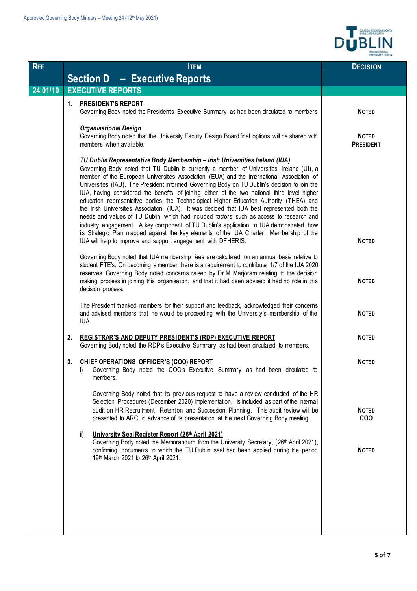

| <b>REF</b> | <b>ITEM</b>                                                                                                                                                                                                                                                                                                                                                                                                                                                                                                                                                                                                                                                                                                                                                                                                                                                                                                                                                                                                             | <b>DECISION</b>                  |
|------------|-------------------------------------------------------------------------------------------------------------------------------------------------------------------------------------------------------------------------------------------------------------------------------------------------------------------------------------------------------------------------------------------------------------------------------------------------------------------------------------------------------------------------------------------------------------------------------------------------------------------------------------------------------------------------------------------------------------------------------------------------------------------------------------------------------------------------------------------------------------------------------------------------------------------------------------------------------------------------------------------------------------------------|----------------------------------|
|            | <b>Section D - Executive Reports</b>                                                                                                                                                                                                                                                                                                                                                                                                                                                                                                                                                                                                                                                                                                                                                                                                                                                                                                                                                                                    |                                  |
| 24.01/10   | <b>EXECUTIVE REPORTS</b>                                                                                                                                                                                                                                                                                                                                                                                                                                                                                                                                                                                                                                                                                                                                                                                                                                                                                                                                                                                                |                                  |
|            | <b>PRESIDENT'S REPORT</b><br>1.<br>Governing Body noted the President's Executive Summary as had been circulated to members                                                                                                                                                                                                                                                                                                                                                                                                                                                                                                                                                                                                                                                                                                                                                                                                                                                                                             | <b>NOTED</b>                     |
|            | <b>Organisational Design</b><br>Governing Body noted that the University Faculty Design Board final options will be shared with<br>members when available.                                                                                                                                                                                                                                                                                                                                                                                                                                                                                                                                                                                                                                                                                                                                                                                                                                                              | <b>NOTED</b><br><b>PRESIDENT</b> |
|            | TU Dublin Representative Body Membership - Irish Universities Ireland (IUA)<br>Governing Body noted that TU Dublin is currently a member of Universities Ireland (UI), a<br>member of the European Universities Association (EUA) and the International Association of<br>Universities (IAU). The President informed Governing Body on TU Dublin's decision to join the<br>IUA, having considered the benefits of joining either of the two national third level higher<br>education representative bodies, the Technological Higher Education Authority (THEA), and<br>the Irish Universities Association (IUA). It was decided that IUA best represented both the<br>needs and values of TU Dublin, which had included factors such as access to research and<br>industry engagement. A key component of TU Dublin's application to IUA demonstrated how<br>its Strategic Plan mapped against the key elements of the IUA Charter. Membership of the<br>IUA will help to improve and support engagement with DFHERIS. | <b>NOTED</b>                     |
|            | Governing Body noted that IUA membership fees are calculated on an annual basis relative to<br>student FTE's. On becoming a member there is a requirement to contribute 1/7 of the IUA 2020<br>reserves. Governing Body noted concerns raised by Dr M Marjoram relating to the decision<br>making process in joining this organisation, and that it had been advised it had no role in this<br>decision process.                                                                                                                                                                                                                                                                                                                                                                                                                                                                                                                                                                                                        | <b>NOTED</b>                     |
|            | The President thanked members for their support and feedback, acknowledged their concerns<br>and advised members that he would be proceeding with the University's membership of the<br>IUA.                                                                                                                                                                                                                                                                                                                                                                                                                                                                                                                                                                                                                                                                                                                                                                                                                            | <b>NOTED</b>                     |
|            | REGISTRAR'S AND DEPUTY PRESIDENT'S (RDP) EXECUTIVE REPORT<br>2.<br>Governing Body noted the RDP's Executive Summary as had been circulated to members.                                                                                                                                                                                                                                                                                                                                                                                                                                                                                                                                                                                                                                                                                                                                                                                                                                                                  | <b>NOTED</b>                     |
|            | CHIEF OPERATIONS OFFICER'S (COO) REPORT<br>3.<br>Governing Body noted the COO's Executive Summary as had been circulated to<br>i)<br>members.                                                                                                                                                                                                                                                                                                                                                                                                                                                                                                                                                                                                                                                                                                                                                                                                                                                                           | <b>NOTED</b>                     |
|            | Governing Body noted that its previous request to have a review conducted of the HR<br>Selection Procedures (December 2020) implementation, is included as part of the internal<br>audit on HR Recruitment, Retention and Succession Planning. This audit review will be<br>presented to ARC, in advance of its presentation at the next Governing Body meeting.                                                                                                                                                                                                                                                                                                                                                                                                                                                                                                                                                                                                                                                        | <b>NOTED</b><br><b>COO</b>       |
|            | ii)<br>University Seal Register Report (26th April 2021)<br>Governing Body noted the Memorandum from the University Secretary, (26th April 2021),<br>confirming documents to which the TU Dublin seal had been applied during the period<br>19th March 2021 to 26th April 2021.                                                                                                                                                                                                                                                                                                                                                                                                                                                                                                                                                                                                                                                                                                                                         | <b>NOTED</b>                     |
|            |                                                                                                                                                                                                                                                                                                                                                                                                                                                                                                                                                                                                                                                                                                                                                                                                                                                                                                                                                                                                                         |                                  |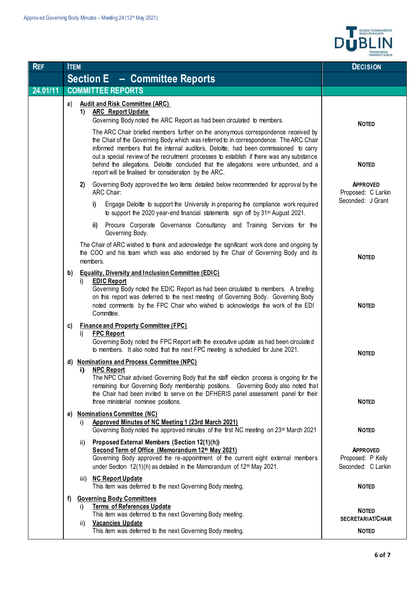

| <b>REF</b> | <b>ITEM</b>                          |           |                                                                                                                                                                                                                                                                                                                                                                                | <b>DECISION</b>                                                            |
|------------|--------------------------------------|-----------|--------------------------------------------------------------------------------------------------------------------------------------------------------------------------------------------------------------------------------------------------------------------------------------------------------------------------------------------------------------------------------|----------------------------------------------------------------------------|
|            | <b>Section E - Committee Reports</b> |           |                                                                                                                                                                                                                                                                                                                                                                                |                                                                            |
| 24.01/11   |                                      |           | <b>COMMITTEE REPORTS</b>                                                                                                                                                                                                                                                                                                                                                       |                                                                            |
|            | a)                                   | 1)        | <b>Audit and Risk Committee (ARC)</b><br><b>ARC</b> Report Update<br>Governing Body noted the ARC Report as had been circulated to members.<br>The ARC Chair briefed members further on the anonymous correspondence received by<br>the Chair of the Governing Body which was referred to in correspondence. The ARC Chair                                                     | <b>NOTED</b>                                                               |
|            |                                      |           | informed members that the internal auditors, Deloitte, had been commissioned to carry<br>out a special review of the recruitment processes to establish if there was any substance<br>behind the allegations. Deloitte concluded that the allegations were unfounded, and a<br>report will be finalised for consideration by the ARC.                                          | <b>NOTED</b>                                                               |
|            |                                      | 2)        | Governing Body approved the two items detailed below recommended for approval by the<br>ARC Chair:                                                                                                                                                                                                                                                                             | <b>APPROVED</b><br>Proposed: C Larkin<br>Seconded: J Grant                 |
|            |                                      |           | Engage Deloitte to support the University in preparing the compliance work required<br>i)<br>to support the 2020 year-end financial statements sign off by 31 <sup>st</sup> August 2021.                                                                                                                                                                                       |                                                                            |
|            |                                      |           | Procure Corporate Governance Consultancy and Training Services for the<br>ii)<br>Governing Body.                                                                                                                                                                                                                                                                               |                                                                            |
|            |                                      |           | The Chair of ARC wished to thank and acknowledge the significant work done and ongoing by<br>the COO and his team which was also endorsed by the Chair of Governing Body and its<br>members.                                                                                                                                                                                   | <b>NOTED</b>                                                               |
|            | b)                                   | i)        | <b>Equality, Diversity and Inclusion Committee (EDIC)</b><br><b>EDIC Report</b><br>Governing Body noted the EDIC Report as had been circulated to members. A briefing<br>on this report was deferred to the next meeting of Governing Body. Governing Body<br>noted comments by the FPC Chair who wished to acknowledge the work of the EDI<br>Committee.                      | <b>NOTED</b>                                                               |
|            | c)                                   | i)        | <b>Finance and Property Committee (FPC)</b><br><b>FPC Report</b><br>Governing Body noted the FPC Report with the executive update as had been circulated<br>to members. It also noted that the next FPC meeting is scheduled for June 2021.                                                                                                                                    | <b>NOTED</b>                                                               |
|            |                                      | i)        | d) Nominations and Process Committee (NPC)<br><b>NPC Report</b><br>The NPC Chair advised Governing Body that the staff election process is ongoing for the<br>remaining four Governing Body membership positions. Governing Body also noted that<br>the Chair had been invited to serve on the DFHERIS panel assessment panel for their                                        |                                                                            |
|            | e)                                   | i).       | three ministerial nominee positions.<br><b>Nominations Committee (NC)</b><br>Approved Minutes of NC Meeting 1 (23rd March 2021)                                                                                                                                                                                                                                                | <b>NOTED</b>                                                               |
|            |                                      | ii)       | Governing Body noted the approved minutes of the first NC meeting on 23 <sup>rd</sup> March 2021<br>Proposed External Members (Section 12(1)(h))<br>Second Term of Office (Memorandum 12th May 2021)<br>Governing Body approved the re-appointment of the current eight external members<br>under Section 12(1)(h) as detailed in the Memorandum of 12 <sup>th</sup> May 2021. | <b>NOTED</b><br><b>APPROVED</b><br>Proposed: P Kelly<br>Seconded: C Larkin |
|            |                                      |           | iii) NC Report Update<br>This item was deferred to the next Governing Body meeting.                                                                                                                                                                                                                                                                                            | <b>NOTED</b>                                                               |
|            | f)                                   | i)<br>ii) | <b>Governing Body Committees</b><br><b>Terms of References Update</b><br>This item was deferred to the next Governing Body meeting.<br><b>Vacancies Update</b><br>This item was deferred to the next Governing Body meeting.                                                                                                                                                   | <b>NOTED</b><br><b>SECRETARIAT/CHAIR</b><br><b>NOTED</b>                   |